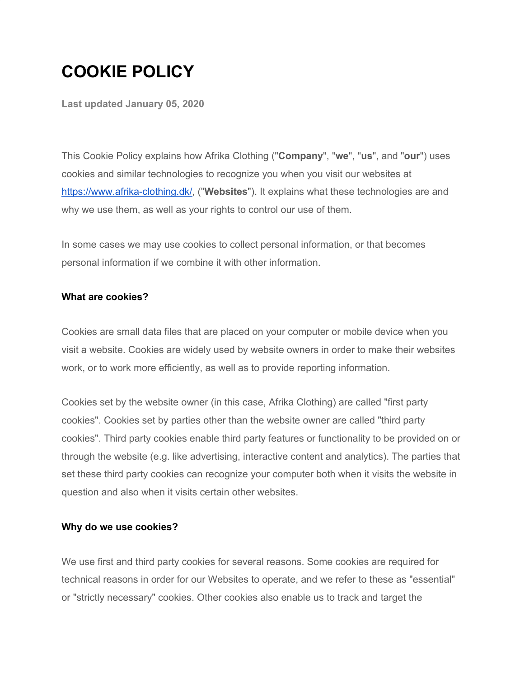# **COOKIE POLICY**

**Last updated January 05, 2020**

This Cookie Policy explains how Afrika Clothing ("**Company**", "**we**", "**us**", and "**our**") uses cookies and similar technologies to recognize you when you visit our websites at [https://www.afrika-clothing.dk/,](https://www.afrika-clothing.dk/) ("**Websites**"). It explains what these technologies are and why we use them, as well as your rights to control our use of them.

In some cases we may use cookies to collect personal information, or that becomes personal information if we combine it with other information.

### **What are cookies?**

Cookies are small data files that are placed on your computer or mobile device when you visit a website. Cookies are widely used by website owners in order to make their websites work, or to work more efficiently, as well as to provide reporting information.

Cookies set by the website owner (in this case, Afrika Clothing) are called "first party cookies". Cookies set by parties other than the website owner are called "third party cookies". Third party cookies enable third party features or functionality to be provided on or through the website (e.g. like advertising, interactive content and analytics). The parties that set these third party cookies can recognize your computer both when it visits the website in question and also when it visits certain other websites.

### **Why do we use cookies?**

We use first and third party cookies for several reasons. Some cookies are required for technical reasons in order for our Websites to operate, and we refer to these as "essential" or "strictly necessary" cookies. Other cookies also enable us to track and target the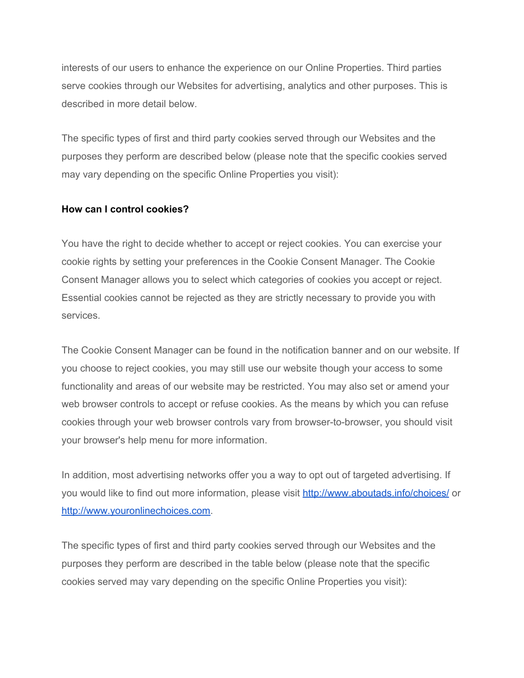interests of our users to enhance the experience on our Online Properties. Third parties serve cookies through our Websites for advertising, analytics and other purposes. This is described in more detail below.

The specific types of first and third party cookies served through our Websites and the purposes they perform are described below (please note that the specific cookies served may vary depending on the specific Online Properties you visit):

### **How can I control cookies?**

You have the right to decide whether to accept or reject cookies. You can exercise your cookie rights by setting your preferences in the Cookie Consent Manager. The Cookie Consent Manager allows you to select which categories of cookies you accept or reject. Essential cookies cannot be rejected as they are strictly necessary to provide you with services.

The Cookie Consent Manager can be found in the notification banner and on our website. If you choose to reject cookies, you may still use our website though your access to some functionality and areas of our website may be restricted. You may also set or amend your web browser controls to accept or refuse cookies. As the means by which you can refuse cookies through your web browser controls vary from browser-to-browser, you should visit your browser's help menu for more information.

In addition, most advertising networks offer you a way to opt out of targeted advertising. If you would like to find out more information, please visit <http://www.aboutads.info/choices/> or [http://www.youronlinechoices.com.](http://www.youronlinechoices.com/)

The specific types of first and third party cookies served through our Websites and the purposes they perform are described in the table below (please note that the specific cookies served may vary depending on the specific Online Properties you visit):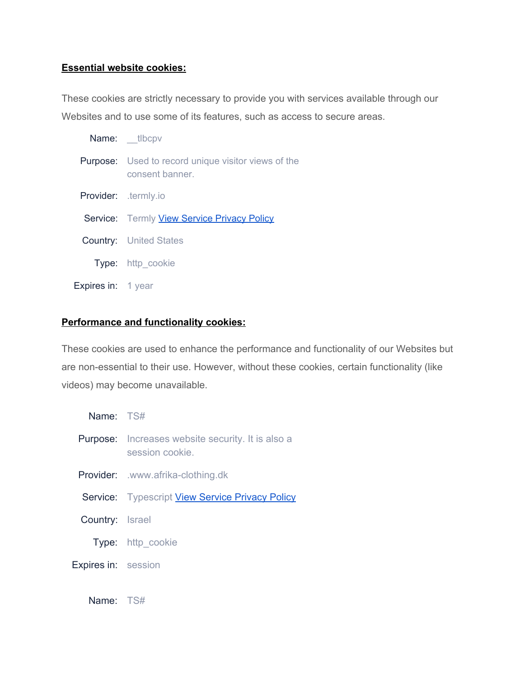# **Essential website cookies:**

These cookies are strictly necessary to provide you with services available through our Websites and to use some of its features, such as access to secure areas.

|                    | Name: _tlbcpv                                                                |
|--------------------|------------------------------------------------------------------------------|
|                    | <b>Purpose:</b> Used to record unique visitor views of the<br>consent banner |
|                    | Provider: .termly.io                                                         |
|                    | Service: Termly View Service Privacy Policy                                  |
|                    | <b>Country:</b> United States                                                |
|                    | Type: http_cookie                                                            |
| Expires in: 1 year |                                                                              |

# **Performance and functionality cookies:**

These cookies are used to enhance the performance and functionality of our Websites but are non-essential to their use. However, without these cookies, certain functionality (like videos) may become unavailable.

| Name: TS#                  |                                                                             |
|----------------------------|-----------------------------------------------------------------------------|
|                            | <b>Purpose:</b> Increases website security. It is also a<br>session cookie. |
|                            | <b>Provider:</b> .www.afrika-clothing.dk                                    |
|                            | <b>Service:</b> Typescript <b>View Service Privacy Policy</b>               |
| <b>Country:</b> Israel     |                                                                             |
|                            | <b>Type:</b> http cookie                                                    |
| <b>Expires in: session</b> |                                                                             |
|                            |                                                                             |

Name: TS#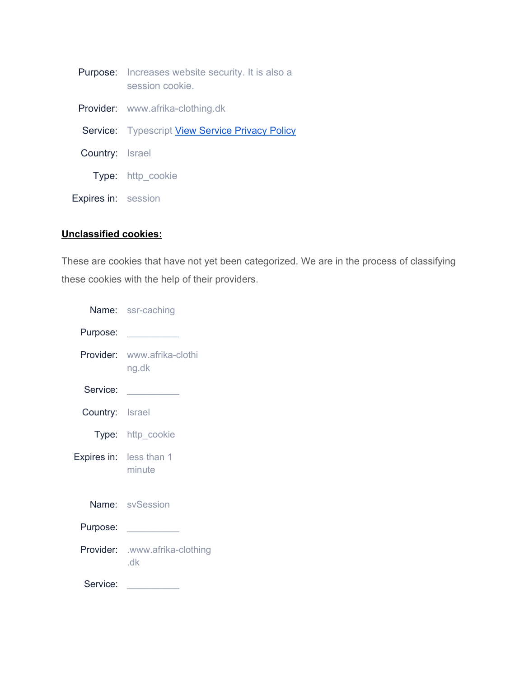|                            | <b>Purpose:</b> Increases website security. It is also a<br>session cookie. |
|----------------------------|-----------------------------------------------------------------------------|
|                            | <b>Provider:</b> www.afrika-clothing.dk                                     |
|                            | Service: Typescript View Service Privacy Policy                             |
| Country: Israel            |                                                                             |
|                            | <b>Type:</b> http cookie                                                    |
| <b>Expires in: session</b> |                                                                             |

# **Unclassified cookies:**

These are cookies that have not yet been categorized. We are in the process of classifying these cookies with the help of their providers.

|                 | Name: ssr-caching                     |
|-----------------|---------------------------------------|
| Purpose:        |                                       |
| Provider:       | www.afrika-clothi<br>ng.dk            |
| Service:        |                                       |
| Country: Israel |                                       |
|                 | <b>Type:</b> http_cookie              |
|                 | Expires in: less than 1<br>minute     |
|                 | Name: svSession                       |
| Purpose:        |                                       |
|                 | Provider: .www.afrika-clothing<br>.dk |
| Service:        |                                       |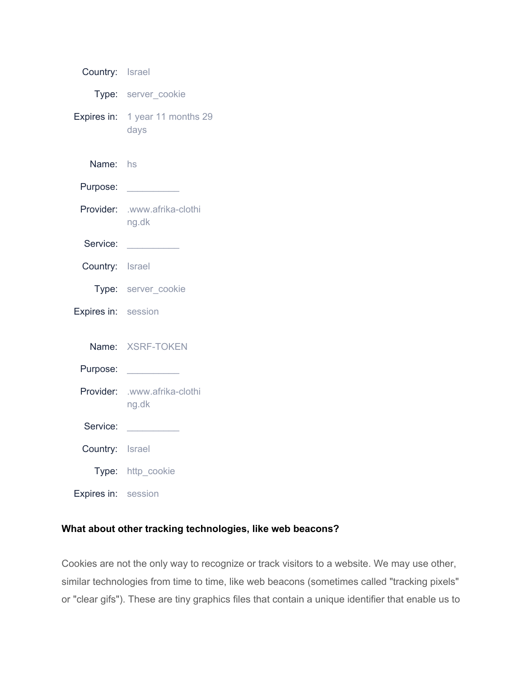| Country: Israel     |                                         |
|---------------------|-----------------------------------------|
|                     | Type: server_cookie                     |
|                     | Expires in: 1 year 11 months 29<br>days |
| Name: hs            |                                         |
| Purpose:            |                                         |
| Provider:           | .www.afrika-clothi<br>ng.dk             |
| Service:            |                                         |
| Country: Israel     |                                         |
|                     | Type: server cookie                     |
| Expires in: session |                                         |
|                     | Name: XSRF-TOKEN                        |
| Purpose:            |                                         |
| Provider:           | .www.afrika-clothi<br>ng.dk             |
| Service:            |                                         |
| Country: Israel     |                                         |
|                     | Type: http_cookie                       |
| Expires in: session |                                         |

# **What about other tracking technologies, like web beacons?**

Cookies are not the only way to recognize or track visitors to a website. We may use other, similar technologies from time to time, like web beacons (sometimes called "tracking pixels" or "clear gifs"). These are tiny graphics files that contain a unique identifier that enable us to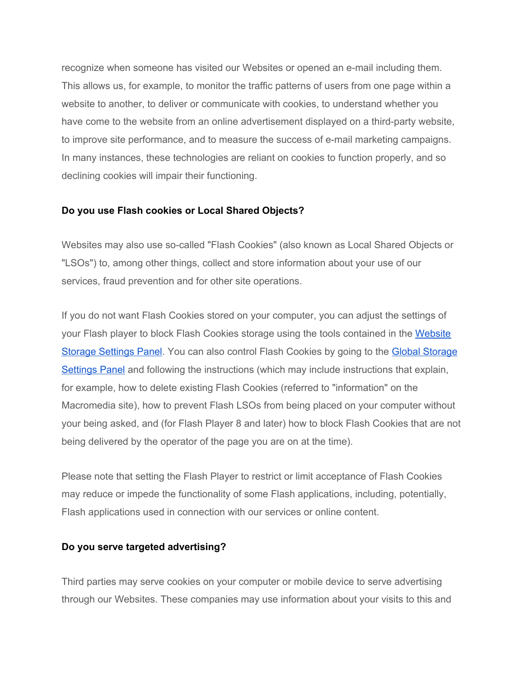recognize when someone has visited our Websites or opened an e-mail including them. This allows us, for example, to monitor the traffic patterns of users from one page within a website to another, to deliver or communicate with cookies, to understand whether you have come to the website from an online advertisement displayed on a third-party website, to improve site performance, and to measure the success of e-mail marketing campaigns. In many instances, these technologies are reliant on cookies to function properly, and so declining cookies will impair their functioning.

### **Do you use Flash cookies or Local Shared Objects?**

Websites may also use so-called "Flash Cookies" (also known as Local Shared Objects or "LSOs") to, among other things, collect and store information about your use of our services, fraud prevention and for other site operations.

If you do not want Flash Cookies stored on your computer, you can adjust the settings of your Flash player to block Flash Cookies storage using the tools contained in the [Website](http://www.macromedia.com/support/documentation/en/flashplayer/help/settings_manager07.html) Storage [Settings](http://www.macromedia.com/support/documentation/en/flashplayer/help/settings_manager07.html) Panel. You can also control Flash Cookies by going to the Global [Storage](http://www.macromedia.com/support/documentation/en/flashplayer/help/settings_manager03.html) [Settings](http://www.macromedia.com/support/documentation/en/flashplayer/help/settings_manager03.html) Panel and following the instructions (which may include instructions that explain, for example, how to delete existing Flash Cookies (referred to "information" on the Macromedia site), how to prevent Flash LSOs from being placed on your computer without your being asked, and (for Flash Player 8 and later) how to block Flash Cookies that are not being delivered by the operator of the page you are on at the time).

Please note that setting the Flash Player to restrict or limit acceptance of Flash Cookies may reduce or impede the functionality of some Flash applications, including, potentially, Flash applications used in connection with our services or online content.

### **Do you serve targeted advertising?**

Third parties may serve cookies on your computer or mobile device to serve advertising through our Websites. These companies may use information about your visits to this and